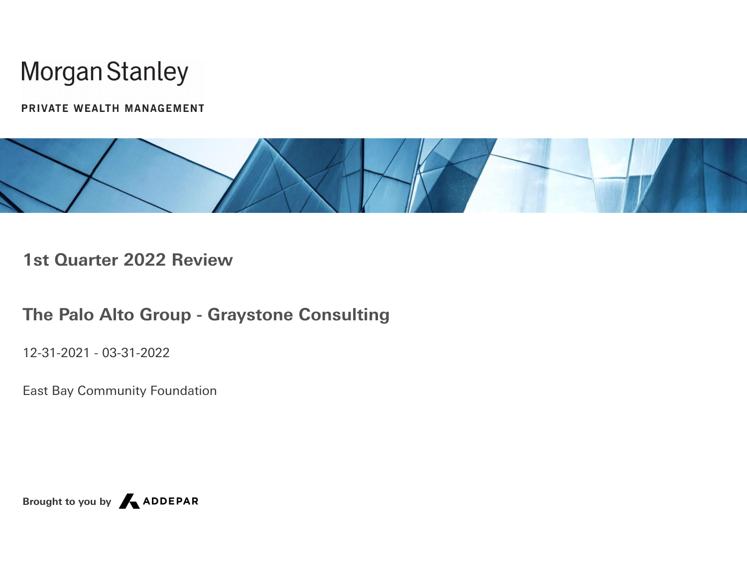PRIVATE WEALTH MANAGEMENT



**1st Quarter 2022 Review**

**The Palo Alto Group - Graystone Consulting**

12-31-2021 - 03-31-2022

East Bay Community Foundation

**Brought to you by**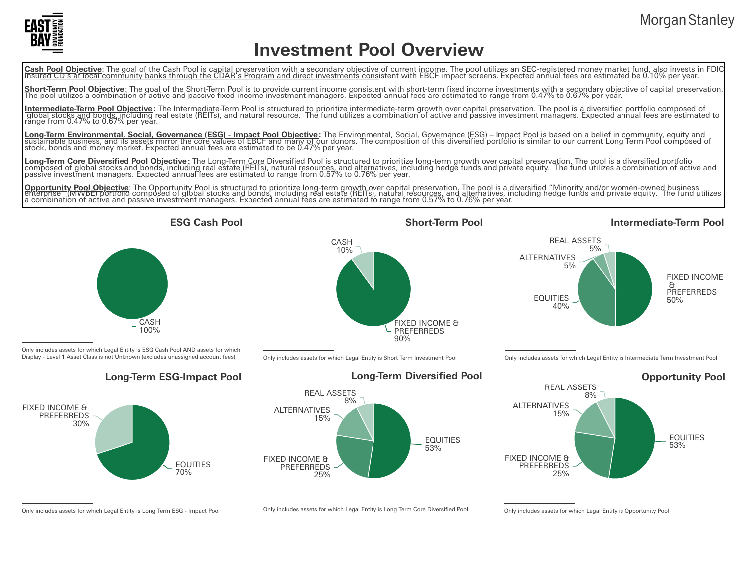

## **Investment Pool Overview**

Cash Pool Objective: The goal of the Cash Pool is capital preservation with a secondary objective of current income. The pool utilizes an SEC-registered money market fund, also invests in FDIC<br>Insured CD's at local communi

**Short-Term Pool Objective**: The goal of the Short-Term Pool is to provide current income consistent with short-term fixed income investments with a secondary objective of capital preservation.<br>The pool utilizes a combinat

**Intermediate-Term Pool Objective:** The Intermediate-Term Pool is structured to prioritize intermediate-term growth over capital preservation. The pool is a diversified portfolio composed of<br>global stocks and bonds, includ

<mark>Long-Term Environmental, Social, Governance (ESG) - Impact Pool Objective</mark>: The Environmental, Social, Governance (ESG) – Impact Pool is based on a belief in community, equity and<br>sustainable business, and its assets mirr

<mark>Long-Term Core Diversified Pool Objective</mark>: The Long-Term Core Diversified Pool is structured to prioritize long-term growth over capital preservation. The pool is a diversified portfolio<br>composed of global stocks and bon

<mark>Opportunity Pool Objective</mark>: The Opportunity Pool is structured to prioritize long-term growth over capital preservation. The pool is a diversified "Minority and/or women-owned business<br>enterprise" (MWBE) portfolio compos



Only includes assets for which Legal Entity is ESG Cash Pool AND assets for which Display - Level 1 Asset Class is not Unknown (excludes unassigned account fees)



FIXED INCOME & PREFERREDS 90% CASH 10%

Only includes assets for which Legal Entity is Short Term Investment Pool



#### **ESG Cash Pool Short-Term Pool**

#### **Intermediate-Term Pool**



Only includes assets for which Legal Entity is Intermediate Term Investment Pool



Only includes assets for which Legal Entity is Long Term ESG - Impact Pool

Only includes assets for which Legal Entity is Long Term Core Diversified Pool Only includes assets for which Legal Entity is Opportunity Pool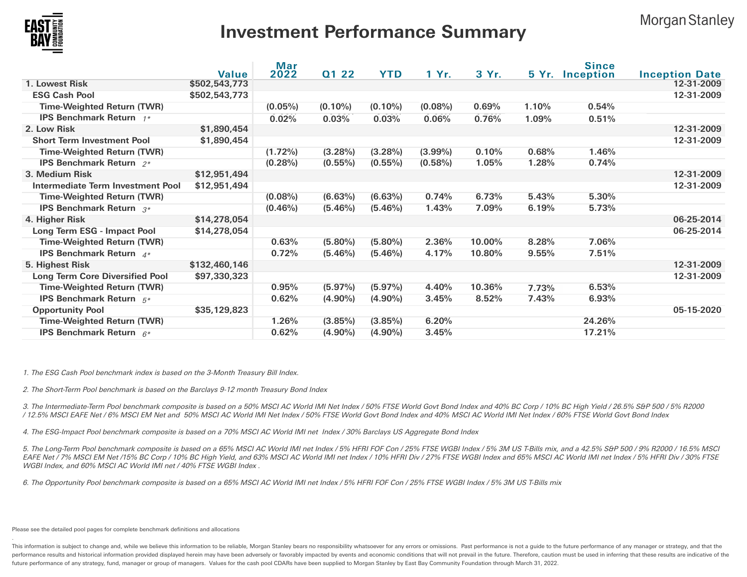

## **Investment Performance Summary**

**Morgan Stanley** 

|                                        | <b>Value</b>  | Mar<br>2022 | Q1 22      | <b>YTD</b> | 1 Yr.      | 3 Yr.  |       | <b>Since</b>     |                                     |
|----------------------------------------|---------------|-------------|------------|------------|------------|--------|-------|------------------|-------------------------------------|
| 1. Lowest Risk                         | \$502,543,773 |             |            |            |            |        | 5 Yr. | <b>Inception</b> | <b>Inception Date</b><br>12-31-2009 |
| <b>ESG Cash Pool</b>                   | \$502,543,773 |             |            |            |            |        |       |                  | 12-31-2009                          |
| <b>Time-Weighted Return (TWR)</b>      |               | $(0.05\%)$  | $(0.10\%)$ | $(0.10\%)$ | $(0.08\%)$ | 0.69%  | 1.10% | 0.54%            |                                     |
| <b>IPS Benchmark Return</b> 1*         |               |             |            |            |            |        |       |                  |                                     |
|                                        |               | 0.02%       | 0.03%      | 0.03%      | 0.06%      | 0.76%  | 1.09% | 0.51%            |                                     |
| 2. Low Risk                            | \$1,890,454   |             |            |            |            |        |       |                  | 12-31-2009                          |
| <b>Short Term Investment Pool</b>      | \$1,890,454   |             |            |            |            |        |       |                  | 12-31-2009                          |
| <b>Time-Weighted Return (TWR)</b>      |               | $(1.72\%)$  | $(3.28\%)$ | $(3.28\%)$ | $(3.99\%)$ | 0.10%  | 0.68% | 1.46%            |                                     |
| IPS Benchmark Return 2*                |               | $(0.28\%)$  | $(0.55\%)$ | $(0.55\%)$ | $(0.58\%)$ | 1.05%  | 1.28% | 0.74%            |                                     |
| 3. Medium Risk                         | \$12,951,494  |             |            |            |            |        |       |                  | 12-31-2009                          |
| Intermediate Term Investment Pool      | \$12,951,494  |             |            |            |            |        |       |                  | 12-31-2009                          |
| <b>Time-Weighted Return (TWR)</b>      |               | $(0.08\%)$  | $(6.63\%)$ | $(6.63\%)$ | 0.74%      | 6.73%  | 5.43% | 5.30%            |                                     |
| <b>IPS Benchmark Return</b> $3*$       |               | $(0.46\%)$  | $(5.46\%)$ | $(5.46\%)$ | 1.43%      | 7.09%  | 6.19% | 5.73%            |                                     |
| 4. Higher Risk                         | \$14,278,054  |             |            |            |            |        |       |                  | 06-25-2014                          |
| Long Term ESG - Impact Pool            | \$14,278,054  |             |            |            |            |        |       |                  | 06-25-2014                          |
| <b>Time-Weighted Return (TWR)</b>      |               | 0.63%       | $(5.80\%)$ | $(5.80\%)$ | 2.36%      | 10.00% | 8.28% | 7.06%            |                                     |
| <b>IPS Benchmark Return</b> $4^*$      |               | 0.72%       | $(5.46\%)$ | $(5.46\%)$ | 4.17%      | 10.80% | 9.55% | 7.51%            |                                     |
| 5. Highest Risk                        | \$132,460,146 |             |            |            |            |        |       |                  | 12-31-2009                          |
| <b>Long Term Core Diversified Pool</b> | \$97,330,323  |             |            |            |            |        |       |                  | 12-31-2009                          |
| <b>Time-Weighted Return (TWR)</b>      |               | 0.95%       | $(5.97\%)$ | $(5.97\%)$ | 4.40%      | 10.36% | 7.73% | 6.53%            |                                     |
| <b>IPS Benchmark Return</b> $5^*$      |               | 0.62%       | $(4.90\%)$ | $(4.90\%)$ | 3.45%      | 8.52%  | 7.43% | 6.93%            |                                     |
| <b>Opportunity Pool</b>                | \$35,129,823  |             |            |            |            |        |       |                  | 05-15-2020                          |
| <b>Time-Weighted Return (TWR)</b>      |               | 1.26%       | $(3.85\%)$ | $(3.85\%)$ | 6.20%      |        |       | 24.26%           |                                     |
| <b>IPS Benchmark Return</b> $6*$       |               | 0.62%       | $(4.90\%)$ | $(4.90\%)$ | 3.45%      |        |       | 17.21%           |                                     |
|                                        |               |             |            |            |            |        |       |                  |                                     |

1. The ESG Cash Pool benchmark index is based on the 3-Month Treasury Bill Index.

2. The Short-Term Pool benchmark is based on the Barclays 9-12 month Treasury Bond Index

3. The Intermediate-Term Pool benchmark composite is based on <sup>a</sup> 50% MSCI AC World IMI Net Index / 50% FTSE World Govt Bond Index and 40% BC Corp / 10% BC High Yield / 26.5% S&P 500 / 5% R2000 / 12.5% MSCI EAFE Net / 6% MSCI EM Net and 50% MSCI AC World IMI Net Index / 50% FTSE World Govt Bond Index and 40% MSCI AC World IMI Net Index / 60% FTSE World Govt Bond Index

4. The ESG-Impact Pool benchmark composite is based on <sup>a</sup> 70% MSCI AC World IMI net Index / 30% Barclays US Aggregate Bond Index

5. The Long-Term Pool benchmark composite is based on <sup>a</sup> 65% MSCI AC World IMI net Index / 5% HFRI FOF Con / 25% FTSE WGBI Index / 5% 3M US T-Bills mix, and <sup>a</sup> 42.5% S&P 500 / 9% R2000 / 16.5% MSCI EAFE Net / 7% MSCI EM Net /15% BC Corp / 10% BC High Yield, and 63% MSCI AC World IMI net Index / 10% HFRI Div / 27% FTSE WGBI Index and 65% MSCI AC World IMI net Index / 5% HFRI Div / 30% FTSE WGBI Index, and 60% MSCI AC World IMI net / 40% FTSE WGBI Index .

6. The Opportunity Pool benchmark composite is based on <sup>a</sup> 65% MSCI AC World IMI net Index / 5% HFRI FOF Con / 25% FTSE WGBI Index / 5% 3M US T-Bills mix

Please see the detailed pool pages for complete benchmark definitions and allocations

.

This information is subject to change and, while we believe this information to be reliable, Morgan Stanley bears no responsibility whatsoever for any errors or omissions. Past performance is not a guide to the future perf performance results and historical information provided displayed herein may have been adversely or favorably impacted by events and economic conditions that will not prevail in the future. Therefore, caution must be used future performance of any strategy, fund, manager or group of managers. Values for the cash pool CDARs have been supplied to Morgan Stanley by East Bay Community Foundation through March 31, 2022.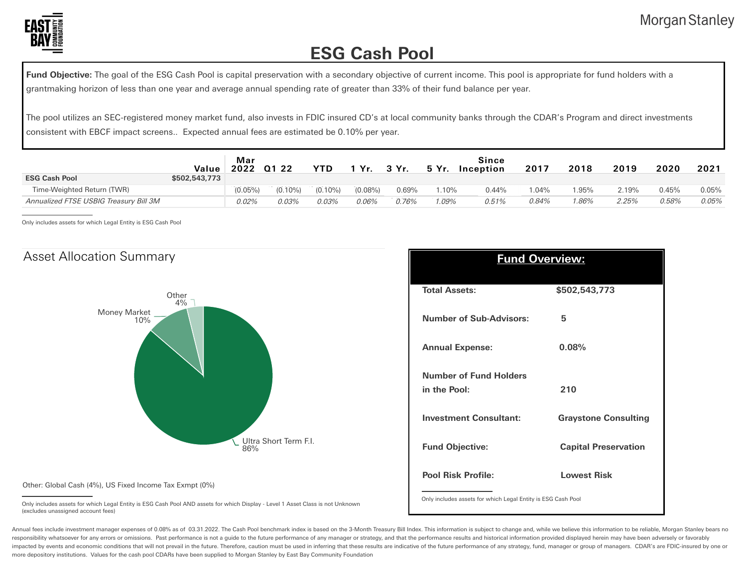

## **ESG Cash Pool**

Fund Objective: The goal of the ESG Cash Pool is capital preservation with a secondary objective of current income. This pool is appropriate for fund holders with a grantmaking horizon of less than one year and average annual spending rate of greater than 33% of their fund balance per year.

The pool utilizes an SEC-registered money market fund, also invests in FDIC insured CD's at local community banks through the CDAR's Program and direct investments consistent with EBCF impact screens.. Expected annual fees are estimated be 0.10% per year.

|                                        | Value         | Mar<br>2022 | Q1 22      | YTD        | Yr.        | 3 Yr. | 5 Yr.    | Since<br>Inception | 2017    | 2018  | 2019  | 2020     | 2021  |
|----------------------------------------|---------------|-------------|------------|------------|------------|-------|----------|--------------------|---------|-------|-------|----------|-------|
| <b>ESG Cash Pool</b>                   | \$502,543,773 |             |            |            |            |       |          |                    |         |       |       |          |       |
| Time-Weighted Return (TWR)             |               | $(0.05\%)$  | $(0.10\%)$ | $(0.10\%)$ | $(0.08\%)$ | 0.69% | $1.10\%$ | 0.44%              | $.04\%$ | 1.95% | 2.19% | $0.45\%$ | 0.05% |
| Annualized FTSE USBIG Treasury Bill 3M |               | 0.02%       | 0.03%      | 0.03%      | 0.06%      | 0.76% | .09%     | 0.51%              | 0.84%   | '.86% | 2.25% | 0.58%    | 0.05% |

Only includes assets for which Legal Entity is ESG Cash Pool



| <b>Fund Overview:</b>                                        |                             |  |  |  |  |  |  |
|--------------------------------------------------------------|-----------------------------|--|--|--|--|--|--|
| <b>Total Assets:</b>                                         | \$502,543,773               |  |  |  |  |  |  |
| <b>Number of Sub-Advisors:</b>                               | 5                           |  |  |  |  |  |  |
| <b>Annual Expense:</b>                                       | 0.08%                       |  |  |  |  |  |  |
| <b>Number of Fund Holders</b>                                |                             |  |  |  |  |  |  |
| in the Pool:                                                 | 210                         |  |  |  |  |  |  |
| <b>Investment Consultant:</b>                                | <b>Graystone Consulting</b> |  |  |  |  |  |  |
| <b>Fund Objective:</b>                                       | <b>Capital Preservation</b> |  |  |  |  |  |  |
| <b>Pool Risk Profile:</b>                                    | <b>Lowest Risk</b>          |  |  |  |  |  |  |
| Only includes assets for which Legal Entity is ESG Cash Pool |                             |  |  |  |  |  |  |

Other: Global Cash (4%), US Fixed Income Tax Exmpt (0%)

Only includes assets for which Legal Entity is ESG Cash Pool AND assets for which Display - Level 1 Asset Class is not Unknown (excludes unassigned account fees)

Annual fees include investment manager expenses of 0.08% as of 03.31.2022. The Cash Pool benchmark index is based on the 3-Month Treasury Bill Index. This information is subject to change and, while we believe this informa responsibility whatsoever for any errors or omissions. Past performance is not a guide to the future performance of any manager or strategy, and that the performance results and historical information provided displayed he impacted by events and economic conditions that will not prevail in the future. Therefore, caution must be used in inferring that these results are indicative of the future performance of any strategy, fund, manager or gro more depository institutions. Values for the cash pool CDARs have been supplied to Morgan Stanley by East Bay Community Foundation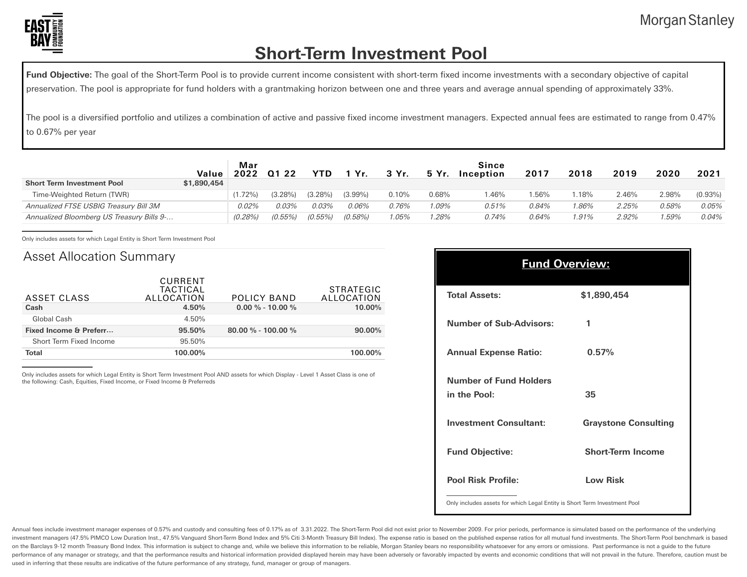

.

## **Short-Term Investment Pool**

**Fund Objective:** The goal of the Short-Term Pool is to provide current income consistent with short-term fixed income investments with a secondary objective of capital preservation. The pool is appropriate for fund holders with a grantmaking horizon between one and three years and average annual spending of approximately 33%.

The pool is a diversified portfolio and utilizes a combination of active and passive fixed income investment managers. Expected annual fees are estimated to range from 0.47% to 0.67% per year

|                                           | Value       | Mar<br>2022 | Q1 22   | <b>YTD</b> | 1 Yr.      | 3 Yr.    | 5 Yr.   | Since<br>Inception | 2017  | 2018    | 2019  | 2020  | 2021       |
|-------------------------------------------|-------------|-------------|---------|------------|------------|----------|---------|--------------------|-------|---------|-------|-------|------------|
| <b>Short Term Investment Pool</b>         | \$1,890,454 |             |         |            |            |          |         |                    |       |         |       |       |            |
| Time-Weighted Return (TWR)                |             | $.72\%$     | (3.28%) | $(3.28\%)$ | $(3.99\%)$ | $0.10\%$ | 0.68%   | 1.46%              | l.56% | $.18\%$ | 2.46% | 2.98% | $(0.93\%)$ |
| Annualized FTSE USBIG Treasury Bill 3M    |             | 0.02%       | 0.03%   | 0.03%      | 0.06%      | 0.76%    | $.09\%$ | 0.51%              | 0.84% | 1.86%   | 2.25% | 0.58% | 0.05%      |
| Annualized Bloomberg US Treasury Bills 9- |             | (0.28%)     | (0.55%) | $(0.55\%)$ | $(0.58\%)$ | .05%     | .28%    | 0.74%              | 0.64% | 1.91%   | 2.92% | .59%  | 0.04%      |

Only includes assets for which Legal Entity is Short Term Investment Pool

#### Asset Allocation Summary

| ASSET CLASS             | CURRENT<br>TACTICAL<br>ALLOCATION | POLICY BAND            | <b>STRATEGIC</b><br>ALLOCATION |
|-------------------------|-----------------------------------|------------------------|--------------------------------|
| Cash                    | 4.50%                             | $0.00\%$ - 10.00 %     | 10.00%                         |
| Global Cash             | 4.50%                             |                        |                                |
| Fixed Income & Preferr  | 95.50%                            | $80.00 \% - 100.00 \%$ | $90.00\%$                      |
| Short Term Fixed Income | 95.50%                            |                        |                                |
| <b>Total</b>            | 100.00%                           |                        | 100.00%                        |

Only includes assets for which Legal Entity is Short Term Investment Pool AND assets for which Display - Level 1 Asset Class is one of the following: Cash, Equities, Fixed Income, or Fixed Income & Preferreds

| <b>Fund Overview:</b>          |                             |  |  |  |  |  |  |
|--------------------------------|-----------------------------|--|--|--|--|--|--|
| <b>Total Assets:</b>           | \$1,890,454                 |  |  |  |  |  |  |
| <b>Number of Sub-Advisors:</b> | 1                           |  |  |  |  |  |  |
| <b>Annual Expense Ratio:</b>   | 0.57%                       |  |  |  |  |  |  |
| <b>Number of Fund Holders</b>  |                             |  |  |  |  |  |  |
| in the Pool:                   | 35                          |  |  |  |  |  |  |
| <b>Investment Consultant:</b>  | <b>Graystone Consulting</b> |  |  |  |  |  |  |
| <b>Fund Objective:</b>         | <b>Short-Term Income</b>    |  |  |  |  |  |  |
| <b>Pool Risk Profile:</b>      | <b>Low Risk</b>             |  |  |  |  |  |  |

Only includes assets for which Legal Entity is Short Term Investment Pool

Annual fees include investment manager expenses of 0.57% and custody and consulting fees of 0.17% as of 3.31.2022. The Short-Term Pool did not exist prior to November 2009. For prior periods, performance is simulated based investment managers (47.5% PIMCO Low Duration Inst., 47.5% Vanguard Short-Term Bond Index and 5% Citi 3-Month Treasury Bill Index). The expense ratio is based on the published expense ratios for all mutual fund investments on the Barclays 9-12 month Treasury Bond Index. This information is subject to change and, while we believe this information to be reliable, Morgan Stanley bears no responsibility whatsoever for any errors or omissions. Pa performance of any manager or strategy, and that the performance results and historical information provided displayed herein may have been adversely or favorably impacted by events and economic conditions that will not pr used in inferring that these results are indicative of the future performance of any strategy, fund, manager or group of managers.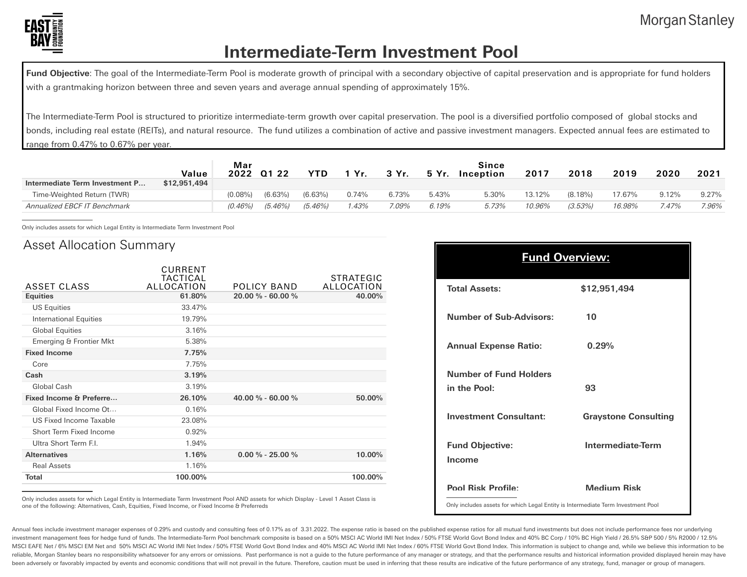

## **Intermediate-Term Investment Pool**

Fund Objective: The goal of the Intermediate-Term Pool is moderate growth of principal with a secondary objective of capital preservation and is appropriate for fund holders with a grantmaking horizon between three and seven years and average annual spending of approximately 15%.

The Intermediate-Term Pool is structured to prioritize intermediate-term growth over capital preservation. The pool is a diversified portfolio composed of global stocks and bonds, including real estate (REITs), and natural resource. The fund utilizes a combination of active and passive investment managers. Expected annual fees are estimated to range from 0.47% to 0.67% per year.

| Intermediate Term Investment P | Value<br>\$12,951,494 | Mar<br>2022 | Q1 22      | YTD        | . Yr  | 3 Yr. | 5 Yr. | Since<br>Inception | 2017   | 2018       | 2019   | 2020    | 2021  |
|--------------------------------|-----------------------|-------------|------------|------------|-------|-------|-------|--------------------|--------|------------|--------|---------|-------|
| Time-Weighted Return (TWR)     |                       | (0.08%      | (6.63%)    | (6.63%)    | 0.74% | 6.73% | 5.43% | 5.30%              | 13.12% | $(8.18\%)$ | 17.67% | 9.12%   | 9.27% |
| Annualized EBCF IT Benchmark   |                       | $(0.46\%)$  | $(5.46\%)$ | $(5.46\%)$ | .43%  | 7.09% | 6.19% | 5.73%              | 10.96% | (3.53%)    | 16.98% | $.47\%$ | 7.96% |

Only includes assets for which Legal Entity is Intermediate Term Investment Pool

#### Asset Allocation Summary

| ASSET CLASS                   | CURRENT<br><b>TACTICAL</b><br>ALLOCATION | POLICY BAND           | <b>STRATEGIC</b><br>ALLOCATION |
|-------------------------------|------------------------------------------|-----------------------|--------------------------------|
| <b>Equities</b>               | 61.80%                                   | $20.00 \% - 60.00 \%$ | 40.00%                         |
| <b>US Equities</b>            | 33.47%                                   |                       |                                |
| <b>International Equities</b> | 19.79%                                   |                       |                                |
| <b>Global Equities</b>        | 3.16%                                    |                       |                                |
| Emerging & Frontier Mkt       | 5.38%                                    |                       |                                |
| <b>Fixed Income</b>           | 7.75%                                    |                       |                                |
| Core                          | 7.75%                                    |                       |                                |
| Cash                          | 3.19%                                    |                       |                                |
| Global Cash                   | 3.19%                                    |                       |                                |
| Fixed Income & Preferre       | 26.10%                                   | 40.00 % - 60.00 %     | 50.00%                         |
| Global Fixed Income Ot        | 0.16%                                    |                       |                                |
| US Fixed Income Taxable       | 23.08%                                   |                       |                                |
| Short Term Fixed Income       | 0.92%                                    |                       |                                |
| Ultra Short Term F.I.         | 1.94%                                    |                       |                                |
| <b>Alternatives</b>           | 1.16%                                    | $0.00\%$ - 25.00 %    | 10.00%                         |
| <b>Real Assets</b>            | 1.16%                                    |                       |                                |
| <b>Total</b>                  | 100.00%                                  |                       | 100.00%                        |
|                               |                                          |                       |                                |

| <b>Fund Overview:</b>                                                            |                             |  |  |  |  |  |  |  |
|----------------------------------------------------------------------------------|-----------------------------|--|--|--|--|--|--|--|
| <b>Total Assets:</b>                                                             | \$12,951,494                |  |  |  |  |  |  |  |
| <b>Number of Sub-Advisors:</b>                                                   | 10                          |  |  |  |  |  |  |  |
| <b>Annual Expense Ratio:</b>                                                     | 0.29%                       |  |  |  |  |  |  |  |
| <b>Number of Fund Holders</b><br>in the Pool:                                    | 93                          |  |  |  |  |  |  |  |
| <b>Investment Consultant:</b>                                                    | <b>Graystone Consulting</b> |  |  |  |  |  |  |  |
| <b>Fund Objective:</b><br>Income                                                 | <b>Intermediate-Term</b>    |  |  |  |  |  |  |  |
| <b>Pool Risk Profile:</b>                                                        | Medium Risk                 |  |  |  |  |  |  |  |
| Only includes assets for which Legal Entity is Intermediate Term Investment Pool |                             |  |  |  |  |  |  |  |

Only includes assets for which Legal Entity is Intermediate Term Investment Pool AND assets for which Display - Level 1 Asset Class is one of the following: Alternatives, Cash, Equities, Fixed Income, or Fixed Income & Preferreds

Annual fees include investment manager expenses of 0.29% and custody and consulting fees of 0.17% as of 3.31.2022. The expense ratio is based on the published expense ratios for all mutual fund investments but does not inc investment management fees for hedge fund of funds. The Intermediate-Term Pool benchmark composite is based on a 50% MSCI AC World IMI Net Index / 50% FTSE World Govt Bond Index and 40% BC Corp / 10% BC High Yield / 26.5% MSCI EAFE Net / 6% MSCI EM Net and 50% MSCI AC World IMI Net Index / 50% FTSE World Govt Bond Index and 40% MSCI AC World IMI Net Index / 60% FTSE World Govt Bond Index 160% FTSE World Hotex / 60% FTSE World Govt Bond Inde reliable, Morgan Stanley bears no responsibility whatsoever for any errors or omissions. Past performance is not a guide to the future performance of any manager or strategy, and that the performance results and historical been adversely or favorably impacted by events and economic conditions that will not prevail in the future. Therefore, caution must be used in inferring that these results are indicative of the future performance of any st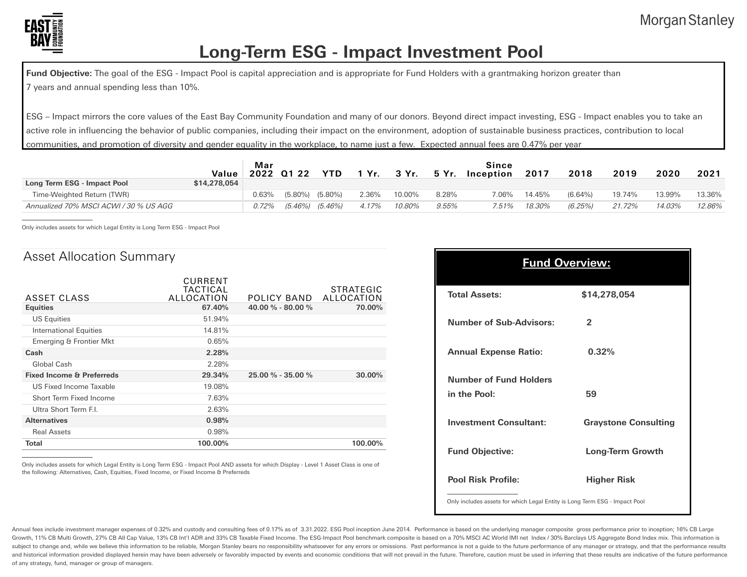

## **Long-Term ESG - Impact Investment Pool**

Fund Objective: The goal of the ESG - Impact Pool is capital appreciation and is appropriate for Fund Holders with a grantmaking horizon greater than 7 years and annual spending less than 10%.

ESG – Impact mirrors the core values of the East Bay Community Foundation and many of our donors. Beyond direct impact investing, ESG - Impact enables you to take an active role in influencing the behavior of public companies, including their impact on the environment, adoption of sustainable business practices, contribution to local communities, and promotion of diversity and gender equality in the workplace, to name just a few. Expected annual fees are 0.47% per year

|                                        | Value        | Mar   | 2022 01 22 | <b>YTD</b> | 1 Yr. | 3 Yr.  | 5 Yr.    | Since<br>Inception | 2017   | 2018       | 2019   | 2020   | 2021   |
|----------------------------------------|--------------|-------|------------|------------|-------|--------|----------|--------------------|--------|------------|--------|--------|--------|
| Long Term ESG - Impact Pool            | \$14,278,054 |       |            |            |       |        |          |                    |        |            |        |        |        |
| Time-Weighted Return (TWR)             |              | 0.63% | $(5.80\%)$ | $(5.80\%)$ | 2.36% | 10.00% | 8.28%    | 7.06%              | 14.45% | $(6.64\%)$ | 19.74% | 13.99% | 13.36% |
| Annualized 70% MSCI ACWI / 30 % US AGG |              | 0.72% | (5.46%)    | (5.46%)    | 4.17% | 10.80% | $9.55\%$ | 7.51%              | 18.30% | (6.25%)    | 21.72% | 14.03% | 12.86% |

Only includes assets for which Legal Entity is Long Term ESG - Impact Pool

#### Asset Allocation Summary

| Total                                | 100.00%                           |                         | 100.00%                 |
|--------------------------------------|-----------------------------------|-------------------------|-------------------------|
| <b>Real Assets</b>                   | 0.98%                             |                         |                         |
| <b>Alternatives</b>                  | 0.98%                             |                         |                         |
| Ultra Short Term F.I.                | 2.63%                             |                         |                         |
| Short Term Fixed Income              | 7.63%                             |                         |                         |
| US Fixed Income Taxable              | 19.08%                            |                         |                         |
| <b>Fixed Income &amp; Preferreds</b> | 29.34%                            | $25.00 \% - 35.00 \%$   | 30.00%                  |
| Global Cash                          | 2.28%                             |                         |                         |
| Cash                                 | 2.28%                             |                         |                         |
| Emerging & Frontier Mkt              | 0.65%                             |                         |                         |
| International Equities               | 14.81%                            |                         |                         |
| <b>US Equities</b>                   | 51.94%                            |                         |                         |
| <b>Equities</b>                      | 67.40%                            | 40.00 $\%$ - 80.00 $\%$ | 70.00%                  |
| ASSET CLASS                          | CURRENT<br>TACTICAL<br>ALLOCATION | POLICY BAND             | STRATEGIC<br>ALLOCATION |

Only includes assets for which Legal Entity is Long Term ESG - Impact Pool AND assets for which Display - Level 1 Asset Class is one of the following: Alternatives, Cash, Equities, Fixed Income, or Fixed Income & Preferreds

| <b>Fund Overview:</b>                         |                             |  |  |  |  |  |  |  |
|-----------------------------------------------|-----------------------------|--|--|--|--|--|--|--|
| <b>Total Assets:</b>                          | \$14,278,054                |  |  |  |  |  |  |  |
| <b>Number of Sub-Advisors:</b>                | $\mathbf{c}$                |  |  |  |  |  |  |  |
| <b>Annual Expense Ratio:</b>                  | 0.32%                       |  |  |  |  |  |  |  |
| <b>Number of Fund Holders</b><br>in the Pool: | 59                          |  |  |  |  |  |  |  |
| <b>Investment Consultant:</b>                 | <b>Graystone Consulting</b> |  |  |  |  |  |  |  |
| <b>Fund Objective:</b>                        | <b>Long-Term Growth</b>     |  |  |  |  |  |  |  |
| <b>Pool Risk Profile:</b>                     | <b>Higher Risk</b>          |  |  |  |  |  |  |  |

Only includes assets for which Legal Entity is Long Term ESG - Impact Pool

Annual fees include investment manager expenses of 0.32% and custody and consulting fees of 0.17% as of 3.31.2022. ESG Pool inception June 2014. Performance is based on the underlying manager composite gross performance pr Growth, 11% CB Multi Growth, 27% CB All Cap Value, 13% CB Int'l ADR and 33% CB Taxable Fixed Income. The ESG-Impact Pool benchmark composite is based on a 70% MSCI AC World IMI net Index / 30% Barclays US Aggregate Bond In subject to change and, while we believe this information to be reliable, Morgan Stanley bears no responsibility whatsoever for any errors or omissions. Past performance is not a guide to the future performance of any manag and historical information provided displayed herein may have been adversely or favorably impacted by events and economic conditions that will not prevail in the future. Therefore, caution must be used in inferring that th of any strategy, fund, manager or group of managers.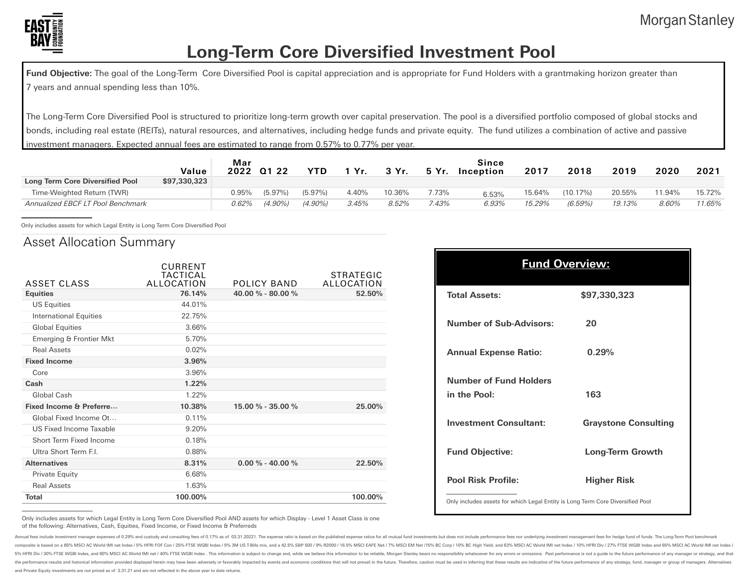

## **Long-Term Core Diversified Investment Pool**

Fund Objective: The goal of the Long-Term Core Diversified Pool is capital appreciation and is appropriate for Fund Holders with a grantmaking horizon greater than 7 years and annual spending less than 10%.

The Long-Term Core Diversified Pool is structured to prioritize long-term growth over capital preservation. The pool is a diversified portfolio composed of global stocks and bonds, including real estate (REITs), natural resources, and alternatives, including hedge funds and private equity. The fund utilizes a combination of active and passive investment managers. Expected annual fees are estimated to range from 0.57% to 0.77% per year.

|                                   | Value        | Mar   | 2022 01 22 | YTD.      | Yr.   | 3 Yr.  | 5 Yr. | Since<br>Inception | 2017   | 2018        | 2019   | 2020   | 2021   |
|-----------------------------------|--------------|-------|------------|-----------|-------|--------|-------|--------------------|--------|-------------|--------|--------|--------|
| Long Term Core Diversified Pool   | \$97,330,323 |       |            |           |       |        |       |                    |        |             |        |        |        |
| Time-Weighted Return (TWR)        |              | 0.95% | $(5.97\%)$ | (5.97%)   | 4.40% | 10.36% | 7.73% | 6.53%              | 15.64% | $(10.17\%)$ | 20.55% | 11.94% | 15.72% |
| Annualized EBCF LT Pool Benchmark |              | 0.62% | $(4.90\%)$ | $(4.90\%$ | 3.45% | 8.52%  | 7.43% | 6.93%              | 15.29% | (6.59%      | 19.13% | 8.60%  | 11.65% |

Only includes assets for which Legal Entity is Long Term Core Diversified Pool

#### Asset Allocation Summary

| 40.00 % - 80.00 %<br>76.14%<br>52.50%<br><b>Equities</b><br><b>US Equities</b><br>44.01%<br>22.75%<br><b>International Equities</b><br><b>Global Equities</b><br>3.66%<br>5.70%<br>Emerging & Frontier Mkt<br><b>Real Assets</b><br>0.02%<br><b>Fixed Income</b><br>3.96%<br>3.96%<br>Core<br>1.22%<br>Cash<br>Global Cash<br>1.22%<br>Fixed Income & Preferre<br>15.00 % - 35.00 %<br>25.00%<br>10.38%<br>Global Fixed Income Ot<br>0.11%<br>US Fixed Income Taxable<br>9.20%<br>Short Term Fixed Income<br>0.18%<br>Ultra Short Term F.I.<br>0.88%<br><b>Alternatives</b><br>$0.00\% - 40.00\%$<br>8.31%<br>22.50%<br>6.68%<br>Private Equity<br><b>Real Assets</b><br>1.63%<br>100.00%<br>100.00%<br><b>Total</b> | ASSET CLASS | CURRENT<br>TACTICAL<br>ALLOCATION | POLICY BAND | STRATEGIC<br>ALLOCATION |
|----------------------------------------------------------------------------------------------------------------------------------------------------------------------------------------------------------------------------------------------------------------------------------------------------------------------------------------------------------------------------------------------------------------------------------------------------------------------------------------------------------------------------------------------------------------------------------------------------------------------------------------------------------------------------------------------------------------------|-------------|-----------------------------------|-------------|-------------------------|
|                                                                                                                                                                                                                                                                                                                                                                                                                                                                                                                                                                                                                                                                                                                      |             |                                   |             |                         |
|                                                                                                                                                                                                                                                                                                                                                                                                                                                                                                                                                                                                                                                                                                                      |             |                                   |             |                         |
|                                                                                                                                                                                                                                                                                                                                                                                                                                                                                                                                                                                                                                                                                                                      |             |                                   |             |                         |
|                                                                                                                                                                                                                                                                                                                                                                                                                                                                                                                                                                                                                                                                                                                      |             |                                   |             |                         |
|                                                                                                                                                                                                                                                                                                                                                                                                                                                                                                                                                                                                                                                                                                                      |             |                                   |             |                         |
|                                                                                                                                                                                                                                                                                                                                                                                                                                                                                                                                                                                                                                                                                                                      |             |                                   |             |                         |
|                                                                                                                                                                                                                                                                                                                                                                                                                                                                                                                                                                                                                                                                                                                      |             |                                   |             |                         |
|                                                                                                                                                                                                                                                                                                                                                                                                                                                                                                                                                                                                                                                                                                                      |             |                                   |             |                         |
|                                                                                                                                                                                                                                                                                                                                                                                                                                                                                                                                                                                                                                                                                                                      |             |                                   |             |                         |
|                                                                                                                                                                                                                                                                                                                                                                                                                                                                                                                                                                                                                                                                                                                      |             |                                   |             |                         |
|                                                                                                                                                                                                                                                                                                                                                                                                                                                                                                                                                                                                                                                                                                                      |             |                                   |             |                         |
|                                                                                                                                                                                                                                                                                                                                                                                                                                                                                                                                                                                                                                                                                                                      |             |                                   |             |                         |
|                                                                                                                                                                                                                                                                                                                                                                                                                                                                                                                                                                                                                                                                                                                      |             |                                   |             |                         |
|                                                                                                                                                                                                                                                                                                                                                                                                                                                                                                                                                                                                                                                                                                                      |             |                                   |             |                         |
|                                                                                                                                                                                                                                                                                                                                                                                                                                                                                                                                                                                                                                                                                                                      |             |                                   |             |                         |
|                                                                                                                                                                                                                                                                                                                                                                                                                                                                                                                                                                                                                                                                                                                      |             |                                   |             |                         |
|                                                                                                                                                                                                                                                                                                                                                                                                                                                                                                                                                                                                                                                                                                                      |             |                                   |             |                         |
|                                                                                                                                                                                                                                                                                                                                                                                                                                                                                                                                                                                                                                                                                                                      |             |                                   |             |                         |
|                                                                                                                                                                                                                                                                                                                                                                                                                                                                                                                                                                                                                                                                                                                      |             |                                   |             |                         |

| <b>Fund Overview:</b>                                                          |                             |  |  |  |  |
|--------------------------------------------------------------------------------|-----------------------------|--|--|--|--|
| <b>Total Assets:</b>                                                           | \$97,330,323                |  |  |  |  |
| <b>Number of Sub-Advisors:</b>                                                 | 20                          |  |  |  |  |
| <b>Annual Expense Ratio:</b>                                                   | 0.29%                       |  |  |  |  |
| <b>Number of Fund Holders</b><br>in the Pool:                                  | 163                         |  |  |  |  |
| <b>Investment Consultant:</b>                                                  | <b>Graystone Consulting</b> |  |  |  |  |
| <b>Fund Objective:</b>                                                         | <b>Long-Term Growth</b>     |  |  |  |  |
| <b>Pool Risk Profile:</b>                                                      | <b>Higher Risk</b>          |  |  |  |  |
| Only includes assets for which Legal Entity is Long Term Core Diversified Pool |                             |  |  |  |  |

Only includes assets for which Legal Entity is Long Term Core Diversified Pool AND assets for which Display - Level 1 Asset Class is one of the following: Alternatives, Cash, Equities, Fixed Income, or Fixed Income & Preferreds

es include investment manager expenses of 0.29% and custody and consulting fees of 0.17% as of 03.31.20221. The expense ratio is based on the published expense ratios for all mutual fund investments but does not include pe sed on a 65% MSCI AC World IMI net Index / 5% HFRI FOF Con / 25% FTSE WGBI Index / 5% 3M US T-Bills mix, and a 42.5% SEP 500 / 9% R2000 / 16.5% MSCI EAFE Net / 7% MSCI EAM Net /16% BC Corp / 10% BC High Yield, and 63% MSCI 5% HFRI Div / 30% FTSE WGBI Index, and 60% MSCI AC World IMI net / 40% FTSE WGBI Index . This information is subject to change and, while we believe this information to be reliable, Morgan Stanley bears no responsibility w the performance results and historical information provided displayed herein may have been adversely or fayorably impacted by events and economic conditions that will not prevail in the future. Therefore, caution must be u and Private Equity investments are not priced as of 3.31.21 and are not reflected in the above year to date returns.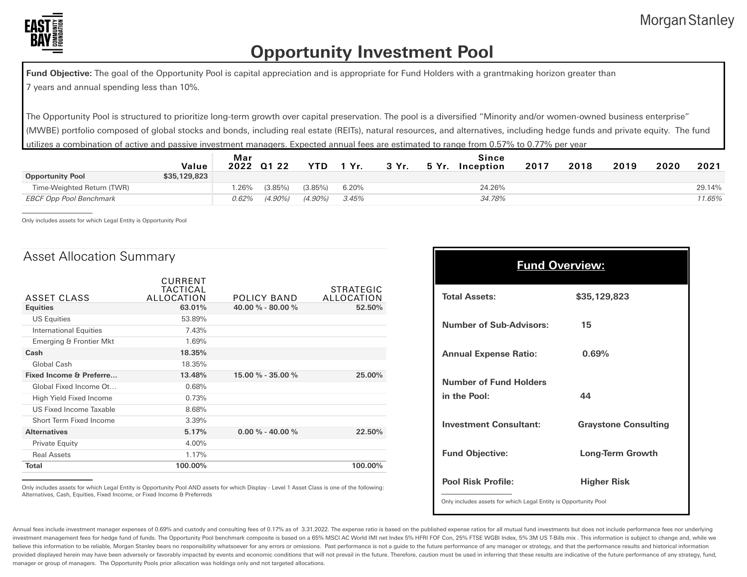

## **Opportunity Investment Pool**

Fund Objective: The goal of the Opportunity Pool is capital appreciation and is appropriate for Fund Holders with a grantmaking horizon greater than 7 years and annual spending less than 10%.

The Opportunity Pool is structured to prioritize long-term growth over capital preservation. The pool is a diversified "Minority and/or women-owned business enterprise" (MWBE) portfolio composed of global stocks and bonds, including real estate (REITs), natural resources, and alternatives, including hedge funds and private equity. The fund utilizes a combination of active and passive investment managers. Expected annual fees are estimated to range from 0.57% to 0.77% per year

| Value        | Mar   |            | YTD.       | 1 Yr.    | 3 Yr. | 5 Yr. | Since  | 2017      | 2018 | 2019 | 2020 | 2021   |
|--------------|-------|------------|------------|----------|-------|-------|--------|-----------|------|------|------|--------|
| \$35,129,823 |       |            |            |          |       |       |        |           |      |      |      |        |
|              | .26%  | $(3.85\%)$ | $(3.85\%)$ | 6.20%    |       |       | 24.26% |           |      |      |      | 29.14% |
|              | 0.62% | (4.90%)    | $(4.90\%)$ | $3.45\%$ |       |       | 34.78% |           |      |      |      | 11.65% |
|              |       |            | 2022 01 22 |          |       |       |        | Inception |      |      |      |        |

Only includes assets for which Legal Entity is Opportunity Pool

#### Asset Allocation Summary

|                               | CURRENT<br>TACTICAL |                    | <b>STRATEGIC</b> |
|-------------------------------|---------------------|--------------------|------------------|
| ASSET CLASS                   | ALLOCATION          | POLICY BAND        | ALLOCATION       |
| <b>Equities</b>               | 63.01%              | 40.00 % - 80.00 %  | 52.50%           |
| <b>US Equities</b>            | 53.89%              |                    |                  |
| <b>International Equities</b> | 7.43%               |                    |                  |
| Emerging & Frontier Mkt       | 1.69%               |                    |                  |
| Cash                          | 18.35%              |                    |                  |
| Global Cash                   | 18.35%              |                    |                  |
| Fixed Income & Preferre       | 13.48%              | 15.00 % - 35.00 %  | 25.00%           |
| Global Fixed Income Ot        | 0.68%               |                    |                  |
| High Yield Fixed Income       | 0.73%               |                    |                  |
| US Fixed Income Taxable       | 8.68%               |                    |                  |
| Short Term Fixed Income       | 3.39%               |                    |                  |
| <b>Alternatives</b>           | 5.17%               | $0.00\% - 40.00\%$ | 22.50%           |
| Private Equity                | 4.00%               |                    |                  |
| <b>Real Assets</b>            | 1.17%               |                    |                  |
| <b>Total</b>                  | 100.00%             |                    | 100.00%          |

| <b>Fund Overview:</b>                                           |                             |  |  |  |  |
|-----------------------------------------------------------------|-----------------------------|--|--|--|--|
| <b>Total Assets:</b>                                            | \$35,129,823                |  |  |  |  |
| <b>Number of Sub-Advisors:</b>                                  | 15                          |  |  |  |  |
| <b>Annual Expense Ratio:</b>                                    | 0.69%                       |  |  |  |  |
| <b>Number of Fund Holders</b><br>in the Pool:                   | 44                          |  |  |  |  |
| <b>Investment Consultant:</b>                                   | <b>Graystone Consulting</b> |  |  |  |  |
| <b>Fund Objective:</b>                                          | <b>Long-Term Growth</b>     |  |  |  |  |
| <b>Pool Risk Profile:</b>                                       | <b>Higher Risk</b>          |  |  |  |  |
| Only includes assets for which Legal Entity is Opportunity Pool |                             |  |  |  |  |

Only includes assets for which Legal Entity is Opportunity Pool AND assets for which Display - Level 1 Asset Class is one of the following: Alternatives, Cash, Equities, Fixed Income, or Fixed Income & Preferreds

Annual fees include investment manager expenses of 0.69% and custody and consulting fees of 0.17% as of 3.31.2022. The expense ratio is based on the published expense ratios for all mutual fund investments but does not inc investment management fees for hedge fund of funds. The Opportunity Pool benchmark composite is based on a 65% MSCI AC World IMI net Index 5% HFRI FOF Con, 25% FTSE WGBI Index, 5% 3M US T-Bills mix. This information is sub believe this information to be reliable, Morgan Stanley bears no responsibility whatsoever for any errors or omissions. Past performance is not a guide to the future performance of any manager or strategy, and that the per provided displayed herein may have been adversely or favorably impacted by events and economic conditions that will not prevail in the future. Therefore, caution must be used in inferring that these results are indicative manager or group of managers. The Opportunity Pools prior allocation was holdings only and not targeted allocations.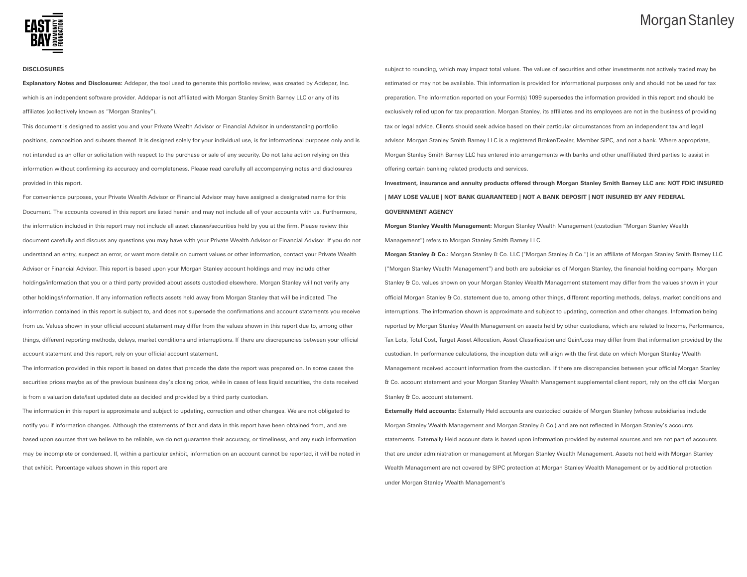#### **DISCLOSURES**

**Explanatory Notes and Disclosures:** Addepar, the tool used to generate this portfolio review, was created by Addepar, Inc. which is an independent software provider. Addepar is not affiliated with Morgan Stanley Smith Barney LLC or any of its affiliates (collectively known as "Morgan Stanley").

This document is designed to assist you and your Private Wealth Advisor or Financial Advisor in understanding portfolio positions, composition and subsets thereof. It is designed solely for your individual use, is for informational purposes only and is not intended as an offer or solicitation with respect to the purchase or sale of any security. Do not take action relying on this information without confirming its accuracy and completeness. Please read carefully all accompanying notes and disclosures provided in this report.

For convenience purposes, your Private Wealth Advisor or Financial Advisor may have assigned a designated name for this Document. The accounts covered in this report are listed herein and may not include all of your accounts with us. Furthermore, the information included in this report may not include all asset classes/securities held by you at the firm. Please review this document carefully and discuss any questions you may have with your Private Wealth Advisor or Financial Advisor. If you do not understand an entry, suspect an error, or want more details on current values or other information, contact your Private Wealth Advisor or Financial Advisor. This report is based upon your Morgan Stanley account holdings and may include other holdings/information that you or a third party provided about assets custodied elsewhere. Morgan Stanley will not verify any other holdings/information. If any information reflects assets held away from Morgan Stanley that will be indicated. The information contained in this report is subject to, and does not supersede the confirmations and account statements you receive from us. Values shown in your official account statement may differ from the values shown in this report due to, among other things, different reporting methods, delays, market conditions and interruptions. If there are discrepancies between your official account statement and this report, rely on your official account statement.

The information provided in this report is based on dates that precede the date the report was prepared on. In some cases the securities prices maybe as of the previous business day's closing price, while in cases of less liquid securities, the data received is from a valuation date/last updated date as decided and provided by a third party custodian.

The information in this report is approximate and subject to updating, correction and other changes. We are not obligated to notify you if information changes. Although the statements of fact and data in this report have been obtained from, and are based upon sources that we believe to be reliable, we do not guarantee their accuracy, or timeliness, and any such information may be incomplete or condensed. If, within a particular exhibit, information on an account cannot be reported, it will be noted in that exhibit. Percentage values shown in this report are

subject to rounding, which may impact total values. The values of securities and other investments not actively traded may be estimated or may not be available. This information is provided for informational purposes only and should not be used for tax preparation. The information reported on your Form(s) 1099 supersedes the information provided in this report and should be exclusively relied upon for tax preparation. Morgan Stanley, its affiliates and its employees are not in the business of providing tax or legal advice. Clients should seek advice based on their particular circumstances from an independent tax and legal advisor. Morgan Stanley Smith Barney LLC is a registered Broker/Dealer, Member SIPC, and not a bank. Where appropriate, Morgan Stanley Smith Barney LLC has entered into arrangements with banks and other unaffiliated third parties to assist in offering certain banking related products and services.

**Investment, insurance and annuity products offered through Morgan Stanley Smith Barney LLC are: NOT FDIC INSURED | MAY LOSE VALUE | NOT BANK GUARANTEED | NOT A BANK DEPOSIT | NOT INSURED BY ANY FEDERAL GOVERNMENT AGENCY**

**Morgan Stanley Wealth Management:** Morgan Stanley Wealth Management (custodian "Morgan Stanley Wealth Management") refers to Morgan Stanley Smith Barney LLC.

**Morgan Stanley & Co.:** Morgan Stanley & Co. LLC ("Morgan Stanley & Co.") is an affiliate of Morgan Stanley Smith Barney LLC ("Morgan Stanley Wealth Management") and both are subsidiaries of Morgan Stanley, the financial holding company. Morgan Stanley & Co. values shown on your Morgan Stanley Wealth Management statement may differ from the values shown in your official Morgan Stanley & Co. statement due to, among other things, different reporting methods, delays, market conditions and interruptions. The information shown is approximate and subject to updating, correction and other changes. Information being reported by Morgan Stanley Wealth Management on assets held by other custodians, which are related to Income, Performance, Tax Lots, Total Cost, Target Asset Allocation, Asset Classification and Gain/Loss may differ from that information provided by the custodian. In performance calculations, the inception date will align with the first date on which Morgan Stanley Wealth Management received account information from the custodian. If there are discrepancies between your official Morgan Stanley & Co. account statement and your Morgan Stanley Wealth Management supplemental client report, rely on the official Morgan Stanley & Co. account statement.

**Externally Held accounts:** Externally Held accounts are custodied outside of Morgan Stanley (whose subsidiaries include Morgan Stanley Wealth Management and Morgan Stanley & Co.) and are not reflected in Morgan Stanley's accounts statements. Externally Held account data is based upon information provided by external sources and are not part of accounts that are under administration or management at Morgan Stanley Wealth Management. Assets not held with Morgan Stanley Wealth Management are not covered by SIPC protection at Morgan Stanley Wealth Management or by additional protection under Morgan Stanley Wealth Management's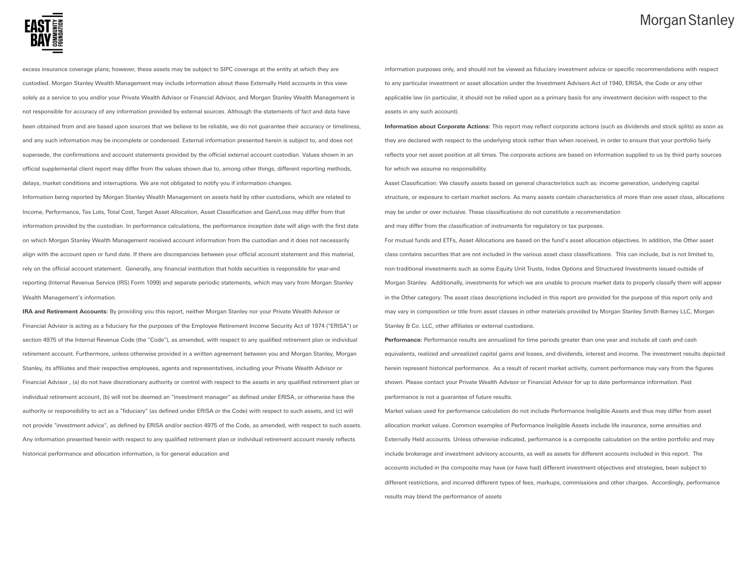

excess insurance coverage plans; however, these assets may be subject to SIPC coverage at the entity at which they are custodied. Morgan Stanley Wealth Management may include information about these Externally Held accounts in this view solely as a service to you and/or your Private Wealth Advisor or Financial Advisor, and Morgan Stanley Wealth Management is not responsible for accuracy of any information provided by external sources. Although the statements of fact and data have been obtained from and are based upon sources that we believe to be reliable, we do not guarantee their accuracy or timeliness, and any such information may be incomplete or condensed. External information presented herein is subject to, and does not supersede, the confirmations and account statements provided by the official external account custodian. Values shown in an official supplemental client report may differ from the values shown due to, among other things, different reporting methods, delays, market conditions and interruptions. We are not obligated to notify you if information changes.

Information being reported by Morgan Stanley Wealth Management on assets held by other custodians, which are related to Income, Performance, Tax Lots, Total Cost, Target Asset Allocation, Asset Classification and Gain/Loss may differ from that information provided by the custodian. In performance calculations, the performance inception date will align with the first date on which Morgan Stanley Wealth Management received account information from the custodian and it does not necessarily align with the account open or fund date. If there are discrepancies between your official account statement and this material, rely on the official account statement. Generally, any financial institution that holds securities is responsible for year-end reporting (Internal Revenue Service (IRS) Form 1099) and separate periodic statements, which may vary from Morgan Stanley Wealth Management's information.

**IRA and Retirement Accounts:** By providing you this report, neither Morgan Stanley nor your Private Wealth Advisor or Financial Advisor is acting as a fiduciary for the purposes of the Employee Retirement Income Security Act of 1974 ("ERISA") or section 4975 of the Internal Revenue Code (the "Code"), as amended, with respect to any qualified retirement plan or individual retirement account. Furthermore, unless otherwise provided in a written agreement between you and Morgan Stanley, Morgan Stanley, its affiliates and their respective employees, agents and representatives, including your Private Wealth Advisor or Financial Advisor , (a) do not have discretionary authority or control with respect to the assets in any qualified retirement plan or individual retirement account, (b) will not be deemed an "investment manager" as defined under ERISA, or otherwise have the authority or responsibility to act as a "fiduciary" (as defined under ERISA or the Code) with respect to such assets, and (c) will not provide "investment advice", as defined by ERISA and/or section 4975 of the Code, as amended, with respect to such assets. Any information presented herein with respect to any qualified retirement plan or individual retirement account merely reflects historical performance and allocation information, is for general education and

information purposes only, and should not be viewed as fiduciary investment advice or specific recommendations with respect to any particular investment or asset allocation under the Investment Advisers Act of 1940, ERISA, the Code or any other applicable law (in particular, it should not be relied upon as a primary basis for any investment decision with respect to the assets in any such account).

**Information about Corporate Actions:** This report may reflect corporate actions (such as dividends and stock splits) as soon as they are declared with respect to the underlying stock rather than when received, in order to ensure that your portfolio fairly reflects your net asset position at all times. The corporate actions are based on information supplied to us by third party sources for which we assume no responsibility.

Asset Classification: We classify assets based on general characteristics such as: income generation, underlying capital structure, or exposure to certain market sectors. As many assets contain characteristics of more than one asset class, allocations may be under or over inclusive. These classifications do not constitute a recommendation and may differ from the classification of instruments for regulatory or tax purposes. For mutual funds and ETFs, Asset Allocations are based on the fund's asset allocation objectives. In addition, the Other asset class contains securities that are not included in the various asset class classifications. This can include, but is not limited to, non-traditional investments such as some Equity Unit Trusts, Index Options and Structured Investments issued outside of Morgan Stanley. Additionally, investments for which we are unable to procure market data to properly classify them will appear in the Other category. The asset class descriptions included in this report are provided for the purpose of this report only and may vary in composition or title from asset classes in other materials provided by Morgan Stanley Smith Barney LLC, Morgan

Stanley & Co. LLC, other affiliates or external custodians.

**Performance:** Performance results are annualized for time periods greater than one year and include all cash and cash equivalents, realized and unrealized capital gains and losses, and dividends, interest and income. The investment results depicted herein represent historical performance. As a result of recent market activity, current performance may vary from the figures shown. Please contact your Private Wealth Advisor or Financial Advisor for up to date performance information. Past performance is not a guarantee of future results.

Market values used for performance calculation do not include Performance Ineligible Assets and thus may differ from asset allocation market values. Common examples of Performance Ineligible Assets include life insurance, some annuities and Externally Held accounts. Unless otherwise indicated, performance is a composite calculation on the entire portfolio and may include brokerage and investment advisory accounts, as well as assets for different accounts included in this report. The accounts included in the composite may have (or have had) different investment objectives and strategies, been subject to different restrictions, and incurred different types of fees, markups, commissions and other charges. Accordingly, performance results may blend the performance of assets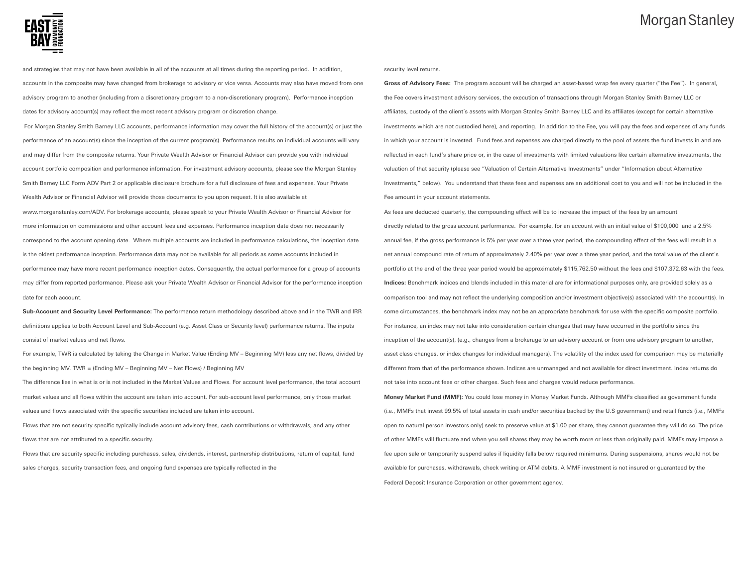

and strategies that may not have been available in all of the accounts at all times during the reporting period. In addition, accounts in the composite may have changed from brokerage to advisory or vice versa. Accounts may also have moved from one advisory program to another (including from a discretionary program to a non-discretionary program). Performance inception dates for advisory account(s) may reflect the most recent advisory program or discretion change.

For Morgan Stanley Smith Barney LLC accounts, performance information may cover the full history of the account(s) or just the performance of an account(s) since the inception of the current program(s). Performance results on individual accounts will vary and may differ from the composite returns. Your Private Wealth Advisor or Financial Advisor can provide you with individual account portfolio composition and performance information. For investment advisory accounts, please see the Morgan Stanley Smith Barney LLC Form ADV Part 2 or applicable disclosure brochure for a full disclosure of fees and expenses. Your Private Wealth Advisor or Financial Advisor will provide those documents to you upon request. It is also available at www.morganstanley.com/ADV. For brokerage accounts, please speak to your Private Wealth Advisor or Financial Advisor for more information on commissions and other account fees and expenses. Performance inception date does not necessarily correspond to the account opening date. Where multiple accounts are included in performance calculations, the inception date is the oldest performance inception. Performance data may not be available for all periods as some accounts included in performance may have more recent performance inception dates. Consequently, the actual performance for a group of accounts may differ from reported performance. Please ask your Private Wealth Advisor or Financial Advisor for the performance inception date for each account.

**Sub-Account and Security Level Performance:** The performance return methodology described above and in the TWR and IRR definitions applies to both Account Level and Sub-Account (e.g. Asset Class or Security level) performance returns. The inputs consist of market values and net flows.

For example, TWR is calculated by taking the Change in Market Value (Ending MV – Beginning MV) less any net flows, divided by the beginning MV. TWR = (Ending MV – Beginning MV – Net Flows) / Beginning MV

The difference lies in what is or is not included in the Market Values and Flows. For account level performance, the total account market values and all flows within the account are taken into account. For sub-account level performance, only those market values and flows associated with the specific securities included are taken into account.

Flows that are not security specific typically include account advisory fees, cash contributions or withdrawals, and any other flows that are not attributed to a specific security.

Flows that are security specific including purchases, sales, dividends, interest, partnership distributions, return of capital, fund sales charges, security transaction fees, and ongoing fund expenses are typically reflected in the

security level returns.

**Gross of Advisory Fees:** The program account will be charged an asset-based wrap fee every quarter ("the Fee"). In general, the Fee covers investment advisory services, the execution of transactions through Morgan Stanley Smith Barney LLC or affiliates, custody of the client's assets with Morgan Stanley Smith Barney LLC and its affiliates (except for certain alternative investments which are not custodied here), and reporting. In addition to the Fee, you will pay the fees and expenses of any funds in which your account is invested. Fund fees and expenses are charged directly to the pool of assets the fund invests in and are reflected in each fund's share price or, in the case of investments with limited valuations like certain alternative investments, the valuation of that security (please see "Valuation of Certain Alternative Investments" under "Information about Alternative Investments," below). You understand that these fees and expenses are an additional cost to you and will not be included in the Fee amount in your account statements.

As fees are deducted quarterly, the compounding effect will be to increase the impact of the fees by an amount directly related to the gross account performance. For example, for an account with an initial value of \$100,000 and a 2.5% annual fee, if the gross performance is 5% per year over a three year period, the compounding effect of the fees will result in a net annual compound rate of return of approximately 2.40% per year over a three year period, and the total value of the client's portfolio at the end of the three year period would be approximately \$115,762.50 without the fees and \$107,372.63 with the fees. **Indices:** Benchmark indices and blends included in this material are for informational purposes only, are provided solely as a comparison tool and may not reflect the underlying composition and/or investment objective(s) associated with the account(s). In some circumstances, the benchmark index may not be an appropriate benchmark for use with the specific composite portfolio. For instance, an index may not take into consideration certain changes that may have occurred in the portfolio since the inception of the account(s), (e.g., changes from a brokerage to an advisory account or from one advisory program to another, asset class changes, or index changes for individual managers). The volatility of the index used for comparison may be materially different from that of the performance shown. Indices are unmanaged and not available for direct investment. Index returns do not take into account fees or other charges. Such fees and charges would reduce performance.

**Money Market Fund (MMF):** You could lose money in Money Market Funds. Although MMFs classified as government funds (i.e., MMFs that invest 99.5% of total assets in cash and/or securities backed by the U.S government) and retail funds (i.e., MMFs open to natural person investors only) seek to preserve value at \$1.00 per share, they cannot guarantee they will do so. The price of other MMFs will fluctuate and when you sell shares they may be worth more or less than originally paid. MMFs may impose a fee upon sale or temporarily suspend sales if liquidity falls below required minimums. During suspensions, shares would not be available for purchases, withdrawals, check writing or ATM debits. A MMF investment is not insured or guaranteed by the Federal Deposit Insurance Corporation or other government agency.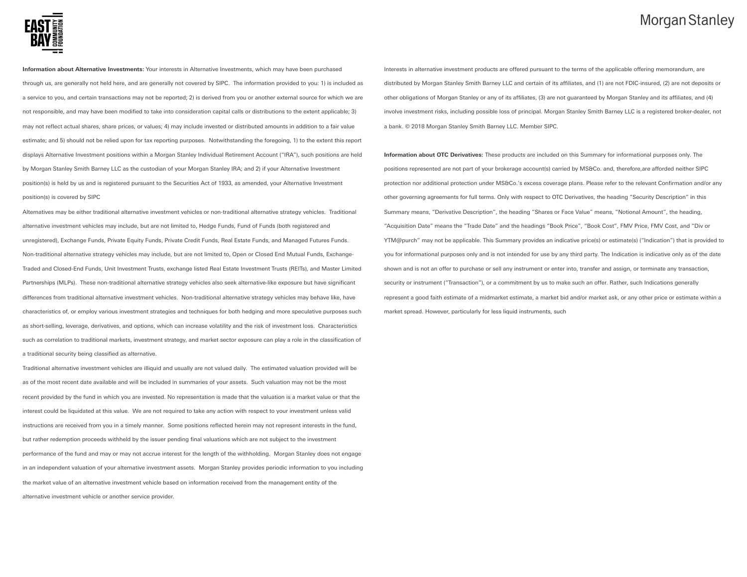

**Information about Alternative Investments:** Your interests in Alternative Investments, which may have been purchased through us, are generally not held here, and are generally not covered by SIPC. The information provided to you: 1) is included as a service to you, and certain transactions may not be reported; 2) is derived from you or another external source for which we are not responsible, and may have been modified to take into consideration capital calls or distributions to the extent applicable; 3) may not reflect actual shares, share prices, or values; 4) may include invested or distributed amounts in addition to a fair value estimate; and 5) should not be relied upon for tax reporting purposes. Notwithstanding the foregoing, 1) to the extent this report displays Alternative Investment positions within a Morgan Stanley Individual Retirement Account ("IRA"), such positions are held by Morgan Stanley Smith Barney LLC as the custodian of your Morgan Stanley IRA; and 2) if your Alternative Investment position(s) is held by us and is registered pursuant to the Securities Act of 1933, as amended, your Alternative Investment position(s) is covered by SIPC

Alternatives may be either traditional alternative investment vehicles or non-traditional alternative strategy vehicles. Traditional alternative investment vehicles may include, but are not limited to, Hedge Funds, Fund of Funds (both registered and unregistered), Exchange Funds, Private Equity Funds, Private Credit Funds, Real Estate Funds, and Managed Futures Funds. Non-traditional alternative strategy vehicles may include, but are not limited to, Open or Closed End Mutual Funds, Exchange-Traded and Closed-End Funds, Unit Investment Trusts, exchange listed Real Estate Investment Trusts (REITs), and Master Limited Partnerships (MLPs). These non-traditional alternative strategy vehicles also seek alternative-like exposure but have significant differences from traditional alternative investment vehicles. Non-traditional alternative strategy vehicles may behave like, have characteristics of, or employ various investment strategies and techniques for both hedging and more speculative purposes such as short-selling, leverage, derivatives, and options, which can increase volatility and the risk of investment loss. Characteristics such as correlation to traditional markets, investment strategy, and market sector exposure can play a role in the classification of a traditional security being classified as alternative.

Traditional alternative investment vehicles are illiquid and usually are not valued daily. The estimated valuation provided will be as of the most recent date available and will be included in summaries of your assets. Such valuation may not be the most recent provided by the fund in which you are invested. No representation is made that the valuation is a market value or that the interest could be liquidated at this value. We are not required to take any action with respect to your investment unless valid instructions are received from you in a timely manner. Some positions reflected herein may not represent interests in the fund, but rather redemption proceeds withheld by the issuer pending final valuations which are not subject to the investment performance of the fund and may or may not accrue interest for the length of the withholding. Morgan Stanley does not engage in an independent valuation of your alternative investment assets. Morgan Stanley provides periodic information to you including the market value of an alternative investment vehicle based on information received from the management entity of the alternative investment vehicle or another service provider.

Interests in alternative investment products are offered pursuant to the terms of the applicable offering memorandum, are distributed by Morgan Stanley Smith Barney LLC and certain of its affiliates, and (1) are not FDIC-insured, (2) are not deposits or other obligations of Morgan Stanley or any of its affiliates, (3) are not guaranteed by Morgan Stanley and its affiliates, and (4) involve investment risks, including possible loss of principal. Morgan Stanley Smith Barney LLC is a registered broker-dealer, not a bank. © 2018 Morgan Stanley Smith Barney LLC. Member SIPC.

**Information about OTC Derivatives:** These products are included on this Summary for informational purposes only. The positions represented are not part of your brokerage account(s) carried by MS&Co. and, therefore,are afforded neither SIPC protection nor additional protection under MS&Co.'s excess coverage plans. Please refer to the relevant Confirmation and/or any other governing agreements for full terms. Only with respect to OTC Derivatives, the heading "Security Description" in this Summary means, "Derivative Description", the heading "Shares or Face Value" means, "Notional Amount", the heading, "Acquisition Date" means the "Trade Date" and the headings "Book Price", "Book Cost", FMV Price, FMV Cost, and "Div or YTM@purch" may not be applicable. This Summary provides an indicative price(s) or estimate(s) ("Indication") that is provided to you for informational purposes only and is not intended for use by any third party. The Indication is indicative only as of the date shown and is not an offer to purchase or sell any instrument or enter into, transfer and assign, or terminate any transaction, security or instrument ("Transaction"), or a commitment by us to make such an offer. Rather, such Indications generally represent a good faith estimate of a midmarket estimate, a market bid and/or market ask, or any other price or estimate within a market spread. However, particularly for less liquid instruments, such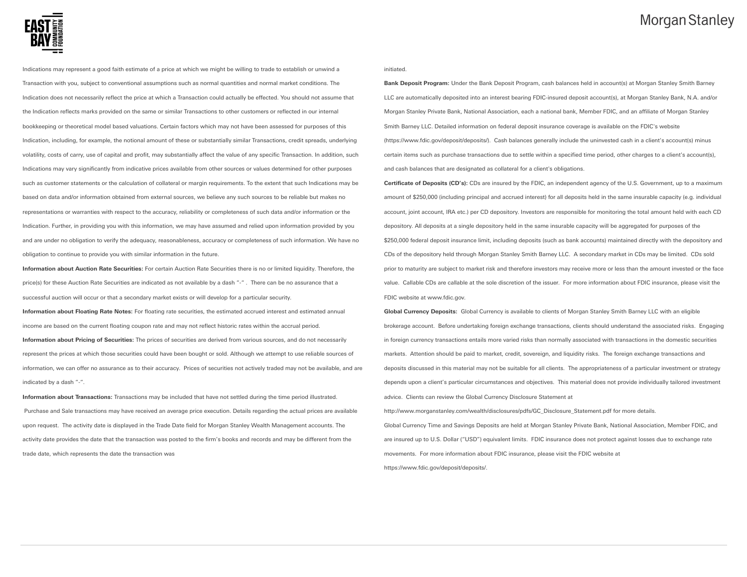

Indications may represent a good faith estimate of a price at which we might be willing to trade to establish or unwind a Transaction with you, subject to conventional assumptions such as normal quantities and normal market conditions. The Indication does not necessarily reflect the price at which a Transaction could actually be effected. You should not assume that the Indication reflects marks provided on the same or similar Transactions to other customers or reflected in our internal bookkeeping or theoretical model based valuations. Certain factors which may not have been assessed for purposes of this Indication, including, for example, the notional amount of these or substantially similar Transactions, credit spreads, underlying volatility, costs of carry, use of capital and profit, may substantially affect the value of any specific Transaction. In addition, such Indications may vary significantly from indicative prices available from other sources or values determined for other purposes such as customer statements or the calculation of collateral or margin requirements. To the extent that such Indications may be based on data and/or information obtained from external sources, we believe any such sources to be reliable but makes no representations or warranties with respect to the accuracy, reliability or completeness of such data and/or information or the Indication. Further, in providing you with this information, we may have assumed and relied upon information provided by you and are under no obligation to verify the adequacy, reasonableness, accuracy or completeness of such information. We have no obligation to continue to provide you with similar information in the future.

**Information about Auction Rate Securities:** For certain Auction Rate Securities there is no or limited liquidity. Therefore, the price(s) for these Auction Rate Securities are indicated as not available by a dash "-" . There can be no assurance that a successful auction will occur or that a secondary market exists or will develop for a particular security.

**Information about Floating Rate Notes:** For floating rate securities, the estimated accrued interest and estimated annual income are based on the current floating coupon rate and may not reflect historic rates within the accrual period. **Information about Pricing of Securities:** The prices of securities are derived from various sources, and do not necessarily represent the prices at which those securities could have been bought or sold. Although we attempt to use reliable sources of information, we can offer no assurance as to their accuracy. Prices of securities not actively traded may not be available, and are indicated by a dash "-".

**Information about Transactions:** Transactions may be included that have not settled during the time period illustrated. Purchase and Sale transactions may have received an average price execution. Details regarding the actual prices are available upon request. The activity date is displayed in the Trade Date field for Morgan Stanley Wealth Management accounts. The activity date provides the date that the transaction was posted to the firm's books and records and may be different from the trade date, which represents the date the transaction was

initiated.

**Bank Deposit Program:** Under the Bank Deposit Program, cash balances held in account(s) at Morgan Stanley Smith Barney LLC are automatically deposited into an interest bearing FDIC-insured deposit account(s), at Morgan Stanley Bank, N.A. and/or Morgan Stanley Private Bank, National Association, each a national bank, Member FDIC, and an affiliate of Morgan Stanley Smith Barney LLC. Detailed information on federal deposit insurance coverage is available on the FDIC's website (https://www.fdic.gov/deposit/deposits/). Cash balances generally include the uninvested cash in a client's account(s) minus certain items such as purchase transactions due to settle within a specified time period, other charges to a client's account(s), and cash balances that are designated as collateral for a client's obligations.

**Certificate of Deposits (CD's):** CDs are insured by the FDIC, an independent agency of the U.S. Government, up to a maximum amount of \$250,000 (including principal and accrued interest) for all deposits held in the same insurable capacity (e.g. individual account, joint account, IRA etc.) per CD depository. Investors are responsible for monitoring the total amount held with each CD depository. All deposits at a single depository held in the same insurable capacity will be aggregated for purposes of the \$250,000 federal deposit insurance limit, including deposits (such as bank accounts) maintained directly with the depository and CDs of the depository held through Morgan Stanley Smith Barney LLC. A secondary market in CDs may be limited. CDs sold prior to maturity are subject to market risk and therefore investors may receive more or less than the amount invested or the face value. Callable CDs are callable at the sole discretion of the issuer. For more information about FDIC insurance, please visit the FDIC website at www.fdic.gov.

**Global Currency Deposits:** Global Currency is available to clients of Morgan Stanley Smith Barney LLC with an eligible brokerage account. Before undertaking foreign exchange transactions, clients should understand the associated risks. Engaging in foreign currency transactions entails more varied risks than normally associated with transactions in the domestic securities markets. Attention should be paid to market, credit, sovereign, and liquidity risks. The foreign exchange transactions and deposits discussed in this material may not be suitable for all clients. The appropriateness of a particular investment or strategy depends upon a client's particular circumstances and objectives. This material does not provide individually tailored investment advice. Clients can review the Global Currency Disclosure Statement at

Global Currency Time and Savings Deposits are held at Morgan Stanley Private Bank, National Association, Member FDIC, and are insured up to U.S. Dollar ("USD") equivalent limits. FDIC insurance does not protect against losses due to exchange rate movements. For more information about FDIC insurance, please visit the FDIC website at https://www.fdic.gov/deposit/deposits/.

http://www.morganstanley.com/wealth/disclosures/pdfs/GC\_Disclosure\_Statement.pdf for more details.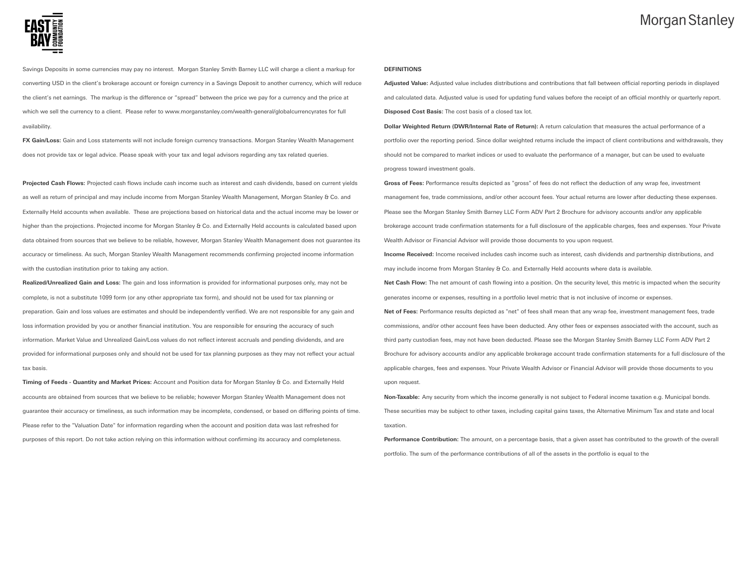

Savings Deposits in some currencies may pay no interest. Morgan Stanley Smith Barney LLC will charge a client a markup for converting USD in the client's brokerage account or foreign currency in a Savings Deposit to another currency, which will reduce the client's net earnings. The markup is the difference or "spread" between the price we pay for a currency and the price at which we sell the currency to a client. Please refer to www.morganstanley.com/wealth-general/globalcurrencyrates for full availability.

**FX Gain/Loss:** Gain and Loss statements will not include foreign currency transactions. Morgan Stanley Wealth Management does not provide tax or legal advice. Please speak with your tax and legal advisors regarding any tax related queries.

**Projected Cash Flows:** Projected cash flows include cash income such as interest and cash dividends, based on current yields as well as return of principal and may include income from Morgan Stanley Wealth Management, Morgan Stanley & Co. and Externally Held accounts when available. These are projections based on historical data and the actual income may be lower or higher than the projections. Projected income for Morgan Stanley & Co. and Externally Held accounts is calculated based upon data obtained from sources that we believe to be reliable, however, Morgan Stanley Wealth Management does not guarantee its accuracy or timeliness. As such, Morgan Stanley Wealth Management recommends confirming projected income information with the custodian institution prior to taking any action.

**Realized/Unrealized Gain and Loss:** The gain and loss information is provided for informational purposes only, may not be complete, is not a substitute 1099 form (or any other appropriate tax form), and should not be used for tax planning or preparation. Gain and loss values are estimates and should be independently verified. We are not responsible for any gain and loss information provided by you or another financial institution. You are responsible for ensuring the accuracy of such information. Market Value and Unrealized Gain/Loss values do not reflect interest accruals and pending dividends, and are provided for informational purposes only and should not be used for tax planning purposes as they may not reflect your actual tax basis.

**Timing of Feeds - Quantity and Market Prices:** Account and Position data for Morgan Stanley & Co. and Externally Held accounts are obtained from sources that we believe to be reliable; however Morgan Stanley Wealth Management does not guarantee their accuracy or timeliness, as such information may be incomplete, condensed, or based on differing points of time. Please refer to the "Valuation Date" for information regarding when the account and position data was last refreshed for purposes of this report. Do not take action relying on this information without confirming its accuracy and completeness.

#### **DEFINITIONS**

**Adjusted Value:** Adjusted value includes distributions and contributions that fall between official reporting periods in displayed and calculated data. Adjusted value is used for updating fund values before the receipt of an official monthly or quarterly report. **Disposed Cost Basis:** The cost basis of a closed tax lot.

**Dollar Weighted Return (DWR/Internal Rate of Return):** A return calculation that measures the actual performance of a portfolio over the reporting period. Since dollar weighted returns include the impact of client contributions and withdrawals, they should not be compared to market indices or used to evaluate the performance of a manager, but can be used to evaluate progress toward investment goals.

**Gross of Fees:** Performance results depicted as "gross" of fees do not reflect the deduction of any wrap fee, investment management fee, trade commissions, and/or other account fees. Your actual returns are lower after deducting these expenses. Please see the Morgan Stanley Smith Barney LLC Form ADV Part 2 Brochure for advisory accounts and/or any applicable brokerage account trade confirmation statements for a full disclosure of the applicable charges, fees and expenses. Your Private Wealth Advisor or Financial Advisor will provide those documents to you upon request.

**Income Received:** Income received includes cash income such as interest, cash dividends and partnership distributions, and may include income from Morgan Stanley & Co. and Externally Held accounts where data is available.

**Net Cash Flow:** The net amount of cash flowing into a position. On the security level, this metric is impacted when the security generates income or expenses, resulting in a portfolio level metric that is not inclusive of income or expenses.

**Net of Fees:** Performance results depicted as "net" of fees shall mean that any wrap fee, investment management fees, trade commissions, and/or other account fees have been deducted. Any other fees or expenses associated with the account, such as third party custodian fees, may not have been deducted. Please see the Morgan Stanley Smith Barney LLC Form ADV Part 2 Brochure for advisory accounts and/or any applicable brokerage account trade confirmation statements for a full disclosure of the applicable charges, fees and expenses. Your Private Wealth Advisor or Financial Advisor will provide those documents to you upon request.

**Non-Taxable:** Any security from which the income generally is not subject to Federal income taxation e.g. Municipal bonds. These securities may be subject to other taxes, including capital gains taxes, the Alternative Minimum Tax and state and local taxation.

**Performance Contribution:** The amount, on a percentage basis, that a given asset has contributed to the growth of the overall portfolio. The sum of the performance contributions of all of the assets in the portfolio is equal to the